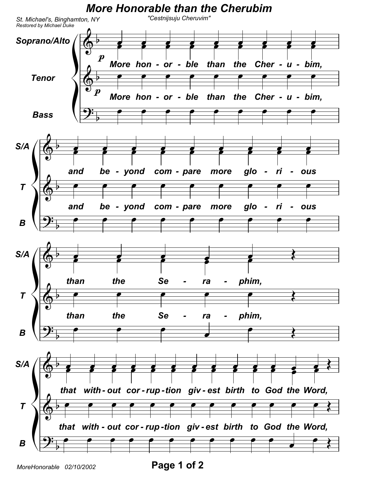

MoreHonorable 02/10/2002

Page 1 of 2